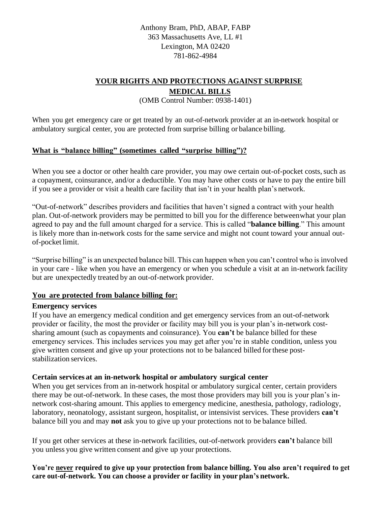Anthony Bram, PhD, ABAP, FABP 363 Massachusetts Ave, LL #1 Lexington, MA 02420 781-862-4984

# **YOUR RIGHTS AND PROTECTIONS AGAINST SURPRISE MEDICAL BILLS**

(OMB Control Number: 0938-1401)

When you get emergency care or get treated by an out-of-network provider at an in-network hospital or ambulatory surgical center, you are protected from surprise billing or balance billing.

## **What is "balance billing" (sometimes called "surprise billing")?**

When you see a doctor or other health care provider, you may owe certain out-of-pocket costs, such as a copayment, coinsurance, and/or a deductible. You may have other costs or have to pay the entire bill if you see a provider or visit a health care facility that isn't in your health plan's network.

"Out-of-network" describes providers and facilities that haven't signed a contract with your health plan. Out-of-network providers may be permitted to bill you for the difference betweenwhat your plan agreed to pay and the full amount charged for a service. This is called "**balance billing**." This amount is likely more than in-network costs for the same service and might not count toward your annual outof-pocket limit.

"Surprise billing" is an unexpected balance bill. This can happen when you can't control who is involved in your care - like when you have an emergency or when you schedule a visit at an in-network facility but are unexpectedly treated by an out-of-network provider.

#### **You are protected from balance billing for:**

#### **Emergency services**

If you have an emergency medical condition and get emergency services from an out-of-network provider or facility, the most the provider or facility may bill you is your plan's in-network costsharing amount (such as copayments and coinsurance). You **can't** be balance billed for these emergency services. This includes services you may get after you're in stable condition, unless you give written consent and give up your protections not to be balanced billed forthese poststabilization services.

### **Certain services at an in-network hospital or ambulatory surgical center**

When you get services from an in-network hospital or ambulatory surgical center, certain providers there may be out-of-network. In these cases, the most those providers may bill you is your plan's innetwork cost-sharing amount. This applies to emergency medicine, anesthesia, pathology, radiology, laboratory, neonatology, assistant surgeon, hospitalist, or intensivist services. These providers **can't**  balance bill you and may **not** ask you to give up your protections not to be balance billed.

If you get other services at these in-network facilities, out-of-network providers **can't** balance bill you unless you give written consent and give up your protections.

**You're never required to give up your protection from balance billing. You also aren't required to get care out-of-network. You can choose a provider or facility in your plan's network.**